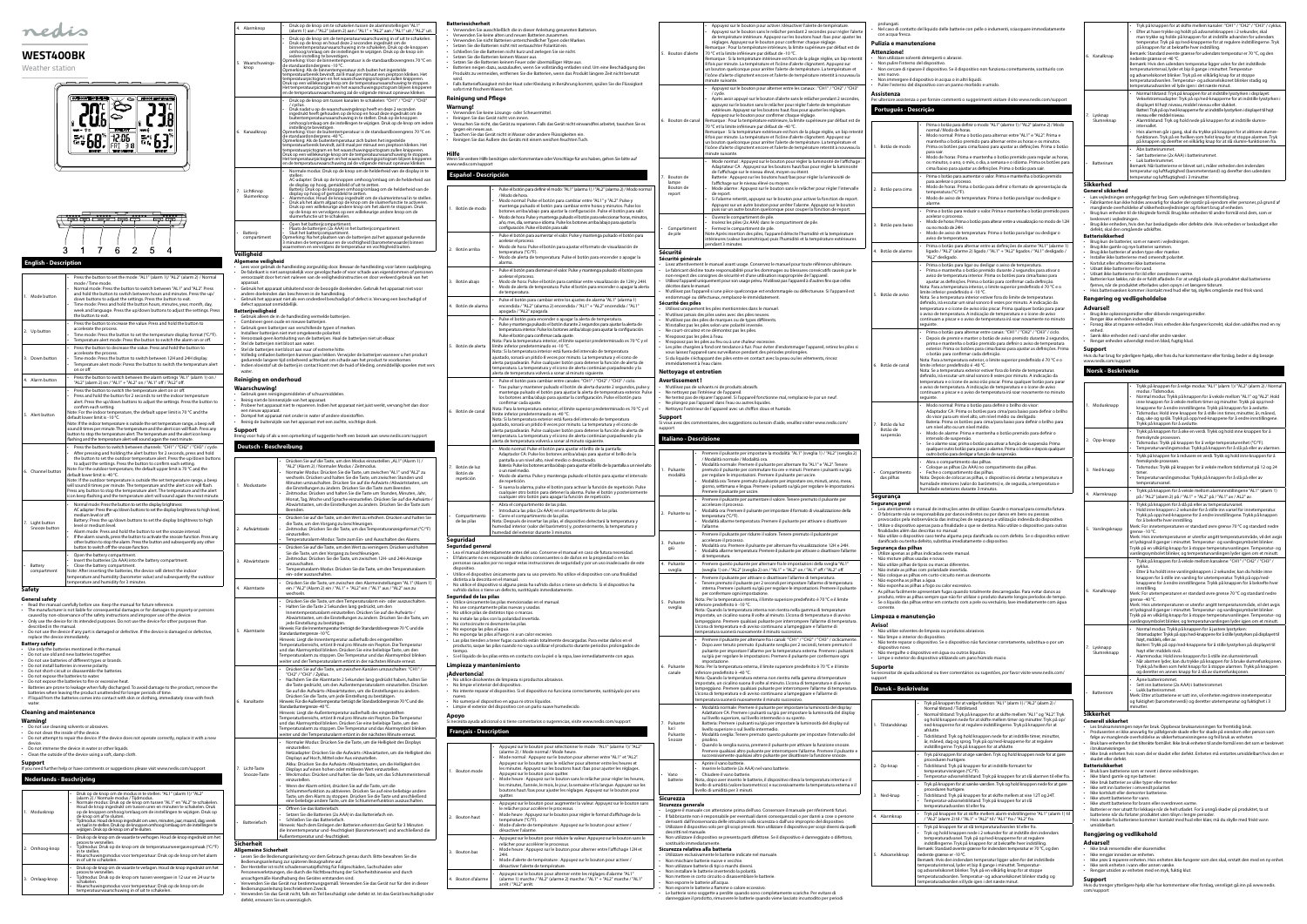# **English - Description**

| 1. Mode button                   | Press the button to set the mode: "AL1" (alarm 1)/ "AL2" (alarm 2) / Normal<br>ï<br>mode / Time mode.<br>Normal mode: Press the button to switch between "AL1" and "AL2". Press<br>ï<br>and hold the button to switch between hours and minutes. Press the up/<br>down buttons to adjust the settings. Press the button to exit.<br>Time mode: Press and hold the button hours, minutes, year, month, day,<br>week and language. Press the up/down buttons to adjust the settings. Press<br>the button to exit.                                                                                                                                                                                                                                                   |
|----------------------------------|-------------------------------------------------------------------------------------------------------------------------------------------------------------------------------------------------------------------------------------------------------------------------------------------------------------------------------------------------------------------------------------------------------------------------------------------------------------------------------------------------------------------------------------------------------------------------------------------------------------------------------------------------------------------------------------------------------------------------------------------------------------------|
| 2. Up button                     | Press the button to increase the value. Press and hold the button to<br>accelerate the process.<br>Time mode: Press the button to set the temperature display format (°C/°F).<br>Temperature alert mode: Press the button to switch the alarm on or off.                                                                                                                                                                                                                                                                                                                                                                                                                                                                                                          |
| 3. Down button                   | Press the button to decrease the value. Press and hold the button to<br>$\cdot$<br>accelerate the process.<br>Time mode: Press the button to switch between 12H and 24H display.<br>٠<br>Temperature alert mode: Psress the button to switch the temperature alert<br>$\ddot{\phantom{0}}$<br>on or off.                                                                                                                                                                                                                                                                                                                                                                                                                                                          |
| 4. Alarm button                  | Press the button to switch between the alarm settings "AL1" (alarm 1) on /<br>$\bullet$<br>"AL2" (alarm 2) on / "AL1" + "AL2" on / "AL1" off / "AL2" off.                                                                                                                                                                                                                                                                                                                                                                                                                                                                                                                                                                                                         |
| 5. Alert button                  | Press the button to switch the temperature alert on or off.<br>$\bullet$<br>Press and hold the button for 2 seconds to set the indoor temperature<br>alert. Press the up/down buttons to adjust the settings. Press the button to<br>confirm each setting.<br>Note: For the indoor temperature, the default upper limit is 70 °C and the<br>default lower limit is -10 °C.<br>Note: If the indoor temperature is outside the set temperature range, a beep will<br>sound 8 times per minute. The temperature and the alert icon will flash. Press any<br>button to stop the temperature alert. The temperature and the alert icon keep<br>flashing and the temperature alert will sound again the next minute.                                                    |
| 6. Channel button                | Press the button to switch between channels: "CH1" / "CH2" / "CH3" / cycle.<br>After pressing and holding the alert button for 2 seconds, press and hold<br>the button to set the outdoor temperature alert. Press the up/down buttons<br>to adjust the settings. Press the button to confirm each setting.<br>Note: For the outdoor temperature, the default upper limit is 70 °C and the<br>default lower limit is -40 °C.<br>Note: If the outdoor temperature is outside the set temperature range, a beep<br>will sound 8 times per minute. The temperature and the alert icon will flash.<br>Press any button to stop the temperature alert. The temperature and the alert<br>icon keep flashing and the temperature alert will sound again the next minute. |
| 7. Light button<br>Snooze button | Normal mode: Press the button to set the display brightness:<br>AC adapter: Press the up/down buttons to set the display brightness to high level,<br>medium level or off.<br>Battery: Press the up/down buttons to set the display brightness to high<br>level or medium level.<br>Alarm mode: Press and hold the button to set the snooze interval.<br>If the alarm sounds, press the button to activate the snooze function. Press any<br>other button to stop the alarm. Press the button and subsequently any other<br>button to switch off the snooze function.                                                                                                                                                                                             |
| Battery<br>compartment           | Open the battery compartment.<br>Insert the batteries (2x AAA) into the battery compartment.<br>Close the battery compartment.<br>Note: After inserting the batteries, the device will detect the indoor<br>temperature and humidity (barometer value) and subsequently the outdoor<br>temperature and humidity for 3 minutes.                                                                                                                                                                                                                                                                                                                                                                                                                                    |
| Safety                           |                                                                                                                                                                                                                                                                                                                                                                                                                                                                                                                                                                                                                                                                                                                                                                   |

- **Battery safety** Use only the batteries mentioned in the manual.
- 
- Do not use old and new batteries together. Do not use batteries of different types or brands. Do not install batteries in reverse polarity.
- 
- Do not short-circuit or disassemble the batteries.
- Do not expose the batteries to water. Do not expose the batteries to fire or excessive heat.
- Batteries are prone to leakage when fully discharged. To avoid damage to the product, remove the<br>batteries when leaving the product unattended for longer periods of time.<br>• If liquid from the batteries comes into contac
- water

## 4. Alarmknop • Druk op de knop om te schakelen tussen de alarminstellingen "AL1" (alarm 1) aan / "AL2" (alarm 2) aan / "AL1" + "AL2" aan / "AL1" uit / "AL2" uit. 5. Waarschuwings-knop Druk op de knop om de temperatuurwaarschuwing in of uit te schakelen.<br>Druk op de knop en houd deze 2 seconden ingedrukt om de binnentemperatuurwaarschuwing in te schakelen. Druk op de knoppen<br>ombogo/omlaag om de instellingen te wijzigen. Druk op de knop om<br>oiedere instelling te bevestigen.<br>Opmerking: Voor de binnentemperatuur is de standaardobov 6. Kanaalknop - Druk op de knop om tussen kanalen te schakelen: "CH1" / "CH2" / "CH3"<br>- Druk nadat u op de waarschuwingsknop heeft en deze 2 seconden<br>- ingedrukt heeft gehouden op de knop en houd deze ingedrukt mde<br>- buitentemperatuurw 7. Lichtknop Sluimerknop • Normale modus: Druk op de knop om de helderheid van de display in te stellen:<br>
actellent of de knoppen omhoog/omlaag om de helderheid van<br>
de display op hoog, gemiddeld of uit te zetten.<br>
Batterij: Druk op de knoppen omhoog/omlaag om de helderheid van de<br>
Batterij: Druk op de Knoppen omhoog • Batterijcompartiment Open het batterijcompartiment.<br>• Plaats de batterijen (2x AAA) in het batterijcompartiment. Opmerking: Na het plaatsen van de batterijen zal het apparaat gedurende<br>3 minuten de temperatuur en de vochtigheid (barometerwaarde) binnen<br>waarnemen en vervolgens de temperatuur en vochtigheid buiten. **Veiligheid Algemene veiligheid** - Lees voor gebruik de handleiding zorgvuldig door. Bewaar de handleiding voor latere raadpleging.<br>De fabrikant is niet aansprakelijk voor gevolgschade of voor schade aan eigendommen of personen .<br>Weroorzaakt door het niet apparaat. • Gebruik het apparaat uitsluitend voor de beoogde doeleinden. Gebruik het apparaat niet voor andere doeleinden dan beschreven in de handleiding. • Gebruik het apparaat niet als een onderdeel beschadigd of defect is. Vervang een beschadigd of defect apparaat onmiddellijk. **Batterijveiligheid** • Gebruik alleen de in de handleiding vermelde batterijen. • Combineer geen oude en nieuwe batterijen. • Gebruik geen batterijen van verschillende typen of merken. • Installeer batterijen niet met omgekeerde polariteit. • Veroorzaak geen kortsluiting van de batterijen. Haal de batterijen niet uit elkaar. • Stel de batterijen niet bloot aan water. • Stel de batterijen niet bloot aan vuur of extreme hitte. - Volledig ontladen batterijen kunnen gaan lekken. Verwijder de batterijen wanneer u het product<br>- Indien vloeistof uit de batterlaat om schade aan het product te voorkomen.<br>- Indien vloeistof uit de batterij in contact ko **Reiniging en onderhoud Waarschuwing!** • Gebruik geen reinigingsmiddelen of schuurmiddelen. • Reinig niet de binnenzijde van het apparaat. • Probeer het apparaat niet te repareren. Indien het apparaat niet juist werkt, vervang het dan door een nieuw apparaat. • Dompel het apparaat niet onder in water of andere vloeistoffen. • Reinig de buitenzijde van het apparaat met een zachte, vochtige doek. **Support** Breng voor hulp of als u een opmerking of suggestie heeft een bezoek aan www.nedis.com/support **Deutsch - Beschreibung** Modustaste Drücken Sie auf die Taste, um den Modus einzustellen: "AL1" (Alarm 1) / "AL2" (Alarm 2) / Normaler Modus / Zeitmodus. • Normaler Modus: Drücken Sie die Taste, um zwischen "AL1" und "AL2" zu wechseln. Drücken und halten Sie die Taste, um zwischen Stunden und Minuten umzuschalten. Drücken Sie auf die Aufwärts-/Abwärtstasten, um die Einstellungen zu ändern. Drücken Sie die Taste zum Beenden. • Zeitmodus: Drücken und halten Sie die Taste um Stunden, Minuten, Jahr, Monat, Tag, Abwärtstas Beenden. 2. Aufwärtstaste • Drücken Sie auf die Taste, um den Wert zu erhöhen. Drücken und halten Sie die Taste, um den Vorgang zu beschleunigen. Zeitmodus: einzustellen. emperatur Abwärtstaste Drücken Sie Sie die Taste Zeitmodus: umzuschalt • Temperaturalarm-Modus: Drücken Sie die Taste, um den Temperaturalarm ein- oder auszuschalten. 4. Alarmtaste Drücken Sie ein / "AL2" (A wechseln. Drücken Sie Halten Sie di

**General safety**

- Read the manual carefully before use. Keep the manual for future reference.
- The manufacturer is not liable for consequential damages or for damages to property or persons<br>• caused by non-observance of the safety instructions and improper use of the device.<br>• Only use the device for it
- described in the manual. • Do not use the device if any part is damaged or defective. If the device is damaged or defective,

### replace the device immediately.

**Cleaning and maintenance**

- **Warning!** • Do not use cleaning solvents or abrasives.
- Do not clean the inside of the device.
- Do not attempt to repair the device. If the device does not operate correctly, replace it with a new

device. • Do not immerse the device in water or other liquids.

• Clean the outside of the device using a soft, damp cloth.

# **Support**

|              |             | If you need further help or have comments or suggestions please visit www.nedis.com/support                                                                                                                                                                                                                                                                                                                                                                                                                                                                                             |
|--------------|-------------|-----------------------------------------------------------------------------------------------------------------------------------------------------------------------------------------------------------------------------------------------------------------------------------------------------------------------------------------------------------------------------------------------------------------------------------------------------------------------------------------------------------------------------------------------------------------------------------------|
|              |             | <b>Nederlands - Beschrijving</b>                                                                                                                                                                                                                                                                                                                                                                                                                                                                                                                                                        |
|              |             |                                                                                                                                                                                                                                                                                                                                                                                                                                                                                                                                                                                         |
| 1. Modusknop |             | Druk op de knop om de modus in te stellen: "AL1" (alarm 1)/ "AL2"<br>(alarm 2) / Normale modus / Tijdmodus.<br>Normale modus: Druk op de knop om tussen "AL1" en "AL2" te schakelen.<br>٠<br>Houd de knop ingedrukt om tussen uren en minuten te schakelen. Druk<br>op de knoppen omhoog/omlaag om de instellingen te wijzigen. Druk op<br>de knop om af te sluiten.<br>Tijdmodus: Houd de knop ingedrukt om uren, minuten, jaar, maand, dag, week<br>٠<br>en taal in te stellen. Druk op de knoppen omhoog/omlaag om de instellingen te<br>wijzigen. Druk op de knop om af te sluiten. |
| 2.           | Omhoog-knop | Druk op de knop om de waarde te verhogen. Houd de knop ingedrukt om het<br>٠<br>proces te versnellen.<br>Tijdmodus: Druk op de knop om de temperatuurweergaveopmaak (°C/°F)<br>in te stellen.<br>Waarschuwingsmodus voor temperatuur: Druk op de knop om het alarm<br>٠<br>in of uit te schakelen.                                                                                                                                                                                                                                                                                      |
| 3.           | Omlaag-knop | Druk op de knop om de waarde te verlagen. Houd de knop ingedrukt om het<br>٠<br>proces te versnellen.<br>Tijdmodus: Druk op de knop om tussen weergave in 12 uur en 24 uur te<br>schakelen.<br>Waarschuwingsmodus voor temperatuur: Druk op de knop om de<br>٠<br>temperatuurwaarschuwing in of uit te schakelen.                                                                                                                                                                                                                                                                       |

Licht-Taste Snooze-Taste

**Batteriefach** 

**Sicherheit Allgemeine Sicherheit** Lesen Sie die Bedienungsanleitung

Bedienungsanleitung zur späteren B • Der Hersteller ist nicht schadensersatzpflichtig für Folgeschäden, Sachschäden oder Personenverletzungen, die durch die Nichtbeachtung der Sicherheitshinweise und durch

- <sub>.</sub><br>Ien Sie keine Lösungs- oder Scheuermittel.
- Reinigen Sie das Gerät nicht von innen. Versuchen Sie nicht, das Gerät zu reparieren. Falls das Gerät nicht einwandfrei arbeitet, tauschen Sie es
- richt, یات است.<br>Gegen ein neues aus.<br>Taush • Tauchen Sie das Gerät nicht in Wasser oder andere Flüssigkeiten ein.
- Reinigen Sie das Äußere des Geräts mit einem weichen feuchten Tuch.
- **Hilfe**

. –<br>n Sie weitere Hilfe benötigen oder Kommentare oder Vorschläge für uns haben, gehen Sie bitte auf

5. Alarmtaste

6. Kanaltaste

- unsachgemäße Handhabung des Gerätes entstanden sind.
- Verwenden Sie das Gerät nur bestimmungsgemäß. Verwenden Sie das Gerät nur für den in dieser<br> Bedienungsanleitung beschriebenen Zweck.<br>• Verwenden Sie das Gerät nicht, falls ein Teil beschädigt oder defekt is defekt, erneuern Sie es unverzüglich.

### **Batteriesicherheit**

- Verwenden Sie ausschließlich die in dieser Anleitung genannten Batterien. Verwenden Sie keine alten und neuen Batterien zusammen.
- Verwenden Sie nicht Batterien unterschiedlicher Typen oder Marken.
- Setzen Sie die Batterien nicht mit vertauschter Polarität ein. Schließen Sie die Batterien nicht kurz und zerlegen Sie sie nicht.
- Setzen Sie die Batterien keinem Wasser aus.
- Setzen Sie die Batterien keinem Feuer oder übermäßiger Hitze aus. • Batterien neigen dazu, auszulaufen, wenn Sie vollständig entladen sind. Um eine Beschädigung des Produkts zu vermeiden, entfernen Sie die Batterien, wenn das Produkt längere Zeit nicht benutzt
- wird. Falls Batterieflüssigkeit mit der Haut oder Kleidung in Berührung kommt, spülen Sie die Flüssigkeit
- sofort mit frischem Wasser fort. **Reinigung und Pflege**

### **Warnung!**

|                                                       | Monat, Tag, Woche und Sprache einzustellen. Drücken Sie auf die Aufwärts-/                                                                                                                                                                                                                                                                                                                                                                                                                                                                                                                                                                                                                                                                                                                                           |                                                                                                                      |                                                                                                                                                                                                                                                                                                                        | cι                                                |
|-------------------------------------------------------|----------------------------------------------------------------------------------------------------------------------------------------------------------------------------------------------------------------------------------------------------------------------------------------------------------------------------------------------------------------------------------------------------------------------------------------------------------------------------------------------------------------------------------------------------------------------------------------------------------------------------------------------------------------------------------------------------------------------------------------------------------------------------------------------------------------------|----------------------------------------------------------------------------------------------------------------------|------------------------------------------------------------------------------------------------------------------------------------------------------------------------------------------------------------------------------------------------------------------------------------------------------------------------|---------------------------------------------------|
| Beenden.                                              | Abwärtstasten, um die Einstellungen zu ändern. Drücken Sie die Taste zum                                                                                                                                                                                                                                                                                                                                                                                                                                                                                                                                                                                                                                                                                                                                             |                                                                                                                      |                                                                                                                                                                                                                                                                                                                        | $\overline{A}$<br>In                              |
| einzustellen.                                         | Drücken Sie auf die Taste, um den Wert zu erhöhen. Drücken und halten Sie<br>die Taste, um den Vorgang zu beschleunigen.<br>Zeitmodus: Drücken Sie die Taste, um das Temperaturanzeigeformat (°C/°F)                                                                                                                                                                                                                                                                                                                                                                                                                                                                                                                                                                                                                 |                                                                                                                      | Compartimento<br>de las pilas                                                                                                                                                                                                                                                                                          | Ci<br>Nota:<br>hume<br>hume                       |
|                                                       | Temperaturalarm-Modus: Taste zum Ein- und Ausschalten des Alarms.                                                                                                                                                                                                                                                                                                                                                                                                                                                                                                                                                                                                                                                                                                                                                    |                                                                                                                      | Seguridad                                                                                                                                                                                                                                                                                                              |                                                   |
| umzuschalten.<br>ein- oder auszuschalten.             | Drücken Sie auf die Taste, um den Wert zu verringern. Drücken und halten<br>Sie die Taste, um den Vorgang zu beschleunigen.<br>Zeitmodus: Drücken Sie die Taste, um zwischen 12H- und 24H-Anzeige<br>Temperaturalarm-Modus: Drücken Sie die Taste, um den Temperaturalarm                                                                                                                                                                                                                                                                                                                                                                                                                                                                                                                                            |                                                                                                                      | Seguridad general<br>Lea el manual detenidam<br>El fabricante no es respon<br>personas causados por no<br>dispositivo.<br>Utilice el dispositivo única                                                                                                                                                                 |                                                   |
| wechseln.                                             | Drücken Sie die Taste, um zwischen den Alarmeinstellungen "AL1" (Alarm 1)<br>ein / "AL2" (Alarm 2) ein / "AL1" + "AL2" ein / "AL1" aus / "AL2" aus zu                                                                                                                                                                                                                                                                                                                                                                                                                                                                                                                                                                                                                                                                | distinta a la descrita en el<br>No utilice el dispositivo si<br>sufrido daños o tiene un o<br>Seguridad de las pilas |                                                                                                                                                                                                                                                                                                                        |                                                   |
| Standarduntergrenze -10 °C.                           | Drücken Sie die Taste, um den Temperaturalarm ein- oder auszuschalten.<br>Halten Sie die Taste 2 Sekunden lang gedrückt, um den<br>Innentemperaturalarm einzustellen. Drücken Sie auf die Aufwärts-/<br>Abwärtstasten, um die Einstellungen zu ändern. Drücken Sie die Taste, um<br>jede Einstellung zu bestätigen.<br>Hinweis: Für die Innentemperatur beträgt die Standardobergrenze 70 °C und die<br>Hinweis: Liegt die Innentemperatur außerhalb des eingestellten<br>Temperaturbereichs, ertönt 8-mal pro Minute ein Piepton. Die Temperatur<br>und das Alarmsymbol blinken. Drücken Sie eine beliebige Taste, um den<br>Temperaturalarm zu stoppen. Die Temperatur und das Alarmsymbol blinken<br>weiter und der Temperaturalarm ertönt in der nächsten Minute erneut.                                         |                                                                                                                      | Utilice únicamente las pila<br>No use conjuntamente pi<br>No utilice pilas de distinto<br>No instale las pilas con la<br>No cortocircuite ni desmo<br>No exponga las pilas al ag<br>No exponga las pilas al fu<br>Las pilas tienden a tener f<br>producto, saque las pilas<br>tiempo.<br>Si el líquido de las pilas er |                                                   |
| "CH2" / "CH3" / Zyklus.<br>Standarduntergrenze-40 °C. | Drücken Sie auf die Taste, um zwischen Kanälen umzuschalten: "CH1" /<br>Nachdem Sie die Alarmtaste 2 Sekunden lang gedrückt haben, halten Sie<br>die Taste gedrückt, um den Außentemperaturalarm einzustellen. Drücken<br>Sie auf die Aufwärts-/Abwärtstasten, um die Einstellungen zu ändern.<br>Drücken Sie die Taste, um jede Einstellung zu bestätigen.<br>Hinweis: Für die Außentemperatur beträgt die Standardobergrenze 70 °C und die<br>Hinweis: Liegt die Außentemperatur außerhalb des eingestellten<br>Temperaturbereichs, ertönt 8-mal pro Minute ein Piepton. Die Temperatur<br>und das Alarmsymbol blinken. Drücken Sie eine beliebige Taste, um den<br>Temperaturalarm zu stoppen. Die Temperatur und das Alarmsymbol blinken<br>weiter und der Temperaturalarm ertönt in der nächsten Minute erneut. | Apoyo                                                                                                                | Limpieza y mantenir<br>¡Advertencia!<br>No utilice disolventes de l<br>No limpie el interior del d<br>No intente reparar el disp<br>nuevo.<br>No sumerja el dispositivo<br>Limpie el exterior del disp<br>Si necesita ayuda adicional o<br>Français - Descripti                                                        |                                                   |
| einzustellen:<br>einzustellen.                        | Normaler Modus: Drücken Sie die Taste, um die Helligkeit des Displays<br>Netzadapter: Drücken Sie die Aufwärts-/Abwärtasten, um die Helligkeit des<br>Displays auf Hoch, Mittel oder Aus einzustellen.<br>Akku: Drücken Sie die Aufwärts-/Abwärtstasten, um die Helligkeit des<br>Displays auf einen hohen oder mittleren Wert einzustellen.<br>Weckmodus: Drücken und halten Sie die Taste, um das Schlummerintervall<br>Wenn der Alarm ertönt, drücken Sie auf die Taste, um die<br>Schlummerfunktion zu aktivieren. Drücken Sie auf eine beliebige andere<br>Taste, um den Alarm zu stoppen. Drücken Sie die Taste und anschließend<br>eine beliebige andere Taste, um die Schlummerfunktion auszuschalten.                                                                                                       |                                                                                                                      | 1. Bouton mode                                                                                                                                                                                                                                                                                                         | A<br>(a<br>N<br>Α<br>le<br>A<br>N<br>le<br>b<br>q |
|                                                       | Öffnen Sie das Batteriefach.<br>Setzen Sie die Batterien (2x AAA) in das Batteriefach ein.<br>Schließen Sie das Batteriefach.<br>Hinweis: Nach dem Einlegen der Batterien erkennt das Gerät für 3 Minuten<br>die Innentemperatur und -feuchtigkeit (Barometerwert) und anschließend die<br>Außentemperatur und -feuchtigkeit.                                                                                                                                                                                                                                                                                                                                                                                                                                                                                        |                                                                                                                      | 2. Bouton haut                                                                                                                                                                                                                                                                                                         | A<br>le<br>N<br>te<br>N<br>d<br>Α                 |
| heit                                                  | nungsanleitung vor dem Gebrauch genau durch. Bitte bewahren Sie die<br>ng zur späteren Bezugnahme auf.                                                                                                                                                                                                                                                                                                                                                                                                                                                                                                                                                                                                                                                                                                               |                                                                                                                      | 3. Bouton bas                                                                                                                                                                                                                                                                                                          | re<br>N<br>2 <sup>i</sup><br>N                    |

### 24H. • Mode d'alerte de température : Appuyez sur le bouton pour activer / désactiver l'alerte de température. Bouton d'alarme • Appuyez sur le bouton pour alterner entre les réglages d'alarme "AL1" (alarme 1) marche / "AL2" (alarme 2) marche / "AL1" + "AL2" marche / "AL1"

arrêt / "AL2" arrêt.

| www.nedis.com/support                                                    | wenn sie weitere Hille behougen oder Kommentare oder vorschlage für uns naben, genen sie bitte auf                                                                                                                                                                                                                                                                                                                                                                                                                                                                                                                                                                                                                                                                                                                                                                                   |                                                                                                                                                                              |
|--------------------------------------------------------------------------|--------------------------------------------------------------------------------------------------------------------------------------------------------------------------------------------------------------------------------------------------------------------------------------------------------------------------------------------------------------------------------------------------------------------------------------------------------------------------------------------------------------------------------------------------------------------------------------------------------------------------------------------------------------------------------------------------------------------------------------------------------------------------------------------------------------------------------------------------------------------------------------|------------------------------------------------------------------------------------------------------------------------------------------------------------------------------|
| <b>Español - Descripción</b>                                             |                                                                                                                                                                                                                                                                                                                                                                                                                                                                                                                                                                                                                                                                                                                                                                                                                                                                                      | 7. Bouton de<br>lampe                                                                                                                                                        |
| 1. Botón de modo                                                         | Pulse el botón para definir el modo: "AL1" (alarma 1) / "AL2" (alarma 2) / Modo normal<br>/ Modo de hora.<br>Modo normal: Pulse el botón para cambiar entre "AL1" y "AL2". Pulse y<br>mantenga pulsado el botón para cambiar entre horas y minutos. Pulse los<br>botones arriba/abajo para ajustar la configuración. Pulse el botón para salir.<br>Modo de hora: Pulse y mantenga pulsado el botón para seleccionar horas, minutos,<br>año, mes, día, semana e idioma. Pulse los botones arriba/abajo para ajustar la<br>configuración. Pulse el botón para salir.                                                                                                                                                                                                                                                                                                                   | Bouton de<br>report<br>Compartim                                                                                                                                             |
| 2. Botón arriba                                                          | Pulse el botón para aumentar el valor. Pulse y mantenga pulsado el botón para<br>acelerar el proceso.<br>Modo de hora: Pulse el botón para ajustar el formato de visualización de<br>temperatura (°C/°F).<br>Modo de alerta de temperatura: Pulse el botón para encender o apagar la<br>alarma.                                                                                                                                                                                                                                                                                                                                                                                                                                                                                                                                                                                      | de pile<br>Sécurité<br>Sécurité aén                                                                                                                                          |
| 3. Botón abajo                                                           | Pulse el botón para disminuir el valor. Pulse y mantenga pulsado el botón para<br>acelerar el proceso.<br>Modo de hora: Pulse el botón para cambiar entre visualización de 12H y 24H.<br>Modo de alerta de temperatura: Pulse el botón para encender o apagar la alerta<br>de temperatura.                                                                                                                                                                                                                                                                                                                                                                                                                                                                                                                                                                                           | Lisez attenti<br>Le fabricant<br>non-respect<br>Utilisez l'app.<br>décrites dans<br>N'utilisez pa<br>endommage                                                               |
| 4. Botón de alarma                                                       | Pulse el botón para cambiar entre los ajustes de alarma "AL1" (alarma 1)<br>encendida / "AL2" (alarma 2) encendida / "AL1" + "AL2" encendida / "AL1"<br>apagada / "AL2" apagada.                                                                                                                                                                                                                                                                                                                                                                                                                                                                                                                                                                                                                                                                                                     | Sécurité des<br>Utilisez uniq                                                                                                                                                |
| 5. Botón de alerta                                                       | Pulse el botón para encender o apagar la alerta de temperatura.<br>Pulse y mantenga pulsado el botón durante 2 segundos para ajustar la alerta de<br>temperatura interior. Pulse los botones arriba/abajo para ajustar la configuración.<br>Pulse el botón para confirmar cada ajuste.<br>Nota: Para la temperatura interior, el límite superior predeterminado es 70 °C y el<br>límite inferior predeterminado es -10 °C.<br>Nota: Si la temperatura interior está fuera del intervalo de temperatura<br>ajustado, sonará un pitido 8 veces por minuto. La temperatura y el icono de<br>alerta parpadearán. Pulse cualquier botón para detener la función de alerta de<br>temperatura. La temperatura y el icono de alerta continúan parpadeando y la<br>alerta de temperatura volverá a sonar al minuto siguiente.                                                                 | N'utilisez jar<br>N'utilisez pa<br>N'installez p<br>Ne court-cire<br>N'exposez p<br>N'exposez p<br>Les piles cha<br>vous laissez<br>Si du liquide<br>immédiaten<br>Nettoyage |
| 6. Botón de canal                                                        | Pulse el botón para cambiar entre canales: "CH1" / "CH2" / "CH3" / ciclo.<br>Tras pulsar y mantener pulsado el botón de alerta durante 2 segundos, pulse y<br>mantenga pulsado el botón para ajustar la alerta de temperatura exterior. Pulse<br>los botones arriba/abajo para ajustar la configuración. Pulse el botón para<br>confirmar cada ajuste.<br>Nota: Para la temperatura exterior, el límite superior predeterminado es 70 °C y el<br>límite inferior predeterminado es -40 °C.<br>Nota: Si la temperatura exterior está fuera del intervalo de temperatura<br>ajustado, sonará un pitido 8 veces por minuto. La temperatura y el icono de<br>alerta parpadearán. Pulse cualquier botón para detener la función de alerta de<br>temperatura. La temperatura y el icono de alerta continúan parpadeando y la<br>alerta de temperatura volverá a sonar al minuto siguiente. | Avertissem<br>N'utilisez pa<br>Ne nettoyez<br>Ne tentez pa<br>Ne plongez<br>Nettoyez l'ex<br>Support<br>Si vous avez des<br>support<br>Italiano - I                          |
| 7. Botón de luz<br>Botón de<br>repetición                                | Modo normal: Pulse el botón para ajustar el brillo de la pantalla:<br>Adaptador CA: Pulse los botones arriba/abajo para ajustar el brillo de la<br>pantalla a un nivel alto, nivel medio o desactivado.<br>Batería: Pulse los botones arriba/abajo para ajustar el brillo de la pantalla a un nivel alto<br>o un nivel medio.<br>Modo de alarma: Pulse y mantenga pulsado el botón para ajustar el intervalo<br>de repetición.<br>Si suena la alarma, pulse el botón para activar la función de repetición. Pulse<br>cualquier otro botón para detener la alarma. Pulse el botón y posteriormente<br>cualquier otro botón para apagar la función de repetición.                                                                                                                                                                                                                      | 1. Pulsante<br>modalità                                                                                                                                                      |
| Compartimento<br>de las pilas                                            | Abra el compartimento de las pilas.<br>$\ddot{\phantom{0}}$<br>Introduzca las pilas (2x AAA) en el compartimento de las pilas.<br>Cierre el compartimento de las pilas.<br>Nota: Después de insertar las pilas, el dispositivo detectará la temperatura y<br>humedad interior (valor del barómetro) y, posteriormente, la temperatura y<br>humedad del exterior durante 3 minutos.                                                                                                                                                                                                                                                                                                                                                                                                                                                                                                   | 2. Pulsante su                                                                                                                                                               |
| Seguridad                                                                |                                                                                                                                                                                                                                                                                                                                                                                                                                                                                                                                                                                                                                                                                                                                                                                                                                                                                      | 3. Pulsante                                                                                                                                                                  |
| Seguridad general<br>dispositivo.                                        | Lea el manual detenidamente antes del uso. Conserve el manual en caso de futura necesidad.<br>El fabricante no es responsable de daños consecuentes o de daños en la propiedad o en las<br>personas causados por no seguir estas instrucciones de seguridad y por un uso inadecuado de este                                                                                                                                                                                                                                                                                                                                                                                                                                                                                                                                                                                          | giù<br>4. Pulsante<br>sveglia                                                                                                                                                |
| distinta a la descrita en el manual.<br>Seguridad de las pilas           | Utilice el dispositivo únicamente para su uso previsto. No utilice el dispositivo con una finalidad<br>No utilice el dispositivo si alguna pieza ha sufrido daños o tiene un defecto. Si el dispositivo ha<br>sufrido daños o tiene un defecto, sustitúyalo inmediatamente.                                                                                                                                                                                                                                                                                                                                                                                                                                                                                                                                                                                                          |                                                                                                                                                                              |
| No cortocircuite ni desmonte las pilas.<br>No exponga las pilas al agua. | Utilice únicamente las pilas mencionadas en el manual.<br>No use conjuntamente pilas nuevas y usadas.<br>No utilice pilas de distintos tipo o marcas.<br>No instale las pilas con la polaridad invertida.<br>No exponga las pilas al fuego ni a un calor excesivo.                                                                                                                                                                                                                                                                                                                                                                                                                                                                                                                                                                                                                   | 5. Pulsante<br>sveglia                                                                                                                                                       |
| tiempo.                                                                  | Las pilas tienden a tener fugas cuando están totalmente descargadas. Para evitar daños en el<br>producto, saque las pilas cuando no vaya a utilizar el producto durante periodos prolongados de<br>Si el líquido de las pilas entra en contacto con la piel o la ropa, lave inmediatamente con agua.                                                                                                                                                                                                                                                                                                                                                                                                                                                                                                                                                                                 |                                                                                                                                                                              |
| Limpieza y mantenimiento                                                 |                                                                                                                                                                                                                                                                                                                                                                                                                                                                                                                                                                                                                                                                                                                                                                                                                                                                                      | 6. Pulsante<br>canale                                                                                                                                                        |
| ¡Advertencia!<br>No limpie el interior del dispositivo.<br>nuevo.        | No utilice disolventes de limpieza ni productos abrasivos.<br>No intente reparar el dispositivo. Si el dispositivo no funciona correctamente, sustitúyalo por uno<br>No sumerja el dispositivo en agua ni otros líquidos.                                                                                                                                                                                                                                                                                                                                                                                                                                                                                                                                                                                                                                                            |                                                                                                                                                                              |
| Apoyo                                                                    | Limpie el exterior del dispositivo con un paño suave humedecido.                                                                                                                                                                                                                                                                                                                                                                                                                                                                                                                                                                                                                                                                                                                                                                                                                     |                                                                                                                                                                              |
| Français - Description                                                   | Si necesita ayuda adicional o si tiene comentarios o sugerencias, visite www.nedis.com/support                                                                                                                                                                                                                                                                                                                                                                                                                                                                                                                                                                                                                                                                                                                                                                                       | 7. Pulsante<br>luci<br>Pulsante                                                                                                                                              |
| 1. Bouton mode                                                           | Appuyez sur le bouton pour sélectionner le mode : "AL1" (alarme 1)/ "AL2"<br>(alarme 2) / Mode normal / Mode heure.<br>Mode normal : Appuyez sur le bouton pour alterner entre "AL1" et "AL2".<br>Appuyez sur le bouton sans le relâcher pour alterner entre les heures et<br>les minutes. Appuyez sur les boutons haut /bas pour ajuster les réglages.<br>Appuyez sur le bouton pour quitter.<br>Mode heure : Appuyez sur le bouton sans le relâcher pour régler les heures,<br>les minutes, l'année, le mois, le jour, la semaine et la langue. Appuyez sur les<br>boutons haut /bas pour ajuster les réglages. Appuyez sur le bouton pour<br>quitter.                                                                                                                                                                                                                             | Snooze<br>Vano<br>batterie                                                                                                                                                   |
| 2. Bouton haut                                                           | Appuyez sur le bouton pour augmenter la valeur. Appuyez sur le bouton sans<br>le relâcher pour accélérer le processus.<br>Mode heure : Appuyez sur le bouton pour régler le format d'affichage de la<br>température (°C/°F).<br>Mode d'alerte de température : Appuyez sur le bouton pour activer /<br>désactiver l'alarme.                                                                                                                                                                                                                                                                                                                                                                                                                                                                                                                                                          | Sicurezza<br>Sicurezza ge<br>Leggere il m<br>Il fabbricant<br>derivanti dal<br>Utilizzare il d<br>descritti nel                                                              |
| 2 Poutan has                                                             | Appuyez sur le bouton pour réduire la valeur. Appuyez sur le bouton sans le<br>relâcher pour accélérer le processus.<br>Mode heure : Appuyez sur le bouton pour alterner entre l'affichage 12H et                                                                                                                                                                                                                                                                                                                                                                                                                                                                                                                                                                                                                                                                                    | Non utilizza<br>sostituirlo in<br>Sicurezza rel                                                                                                                              |

| 5. Bouton d'alerte                                                                        | Appuyez sur le bouton pour activer /désactiver l'alerte de température.<br>Appuyez sur le bouton sans le relâcher pendant 2 secondes pour régler l'alerte<br>de température intérieure. Appuyez sur les boutons haut /bas pour ajuster les<br>réglages. Appuyez sur le bouton pour confirmer chaque réglage.<br>Remarque : Pour la température intérieure, la limite supérieure par défaut est de<br>70 °C et la limite inférieure par défaut de -10 °C.<br>Remarque : Si la température intérieure est hors de la plage réglée, un bip retentit                                                                                                                                                                  | prolungati.<br>con acqua fresca.<br>Pulizia e manutenzione<br>Attenzione! | Nel caso di contatto del liquido delle batterie con pelle o indumenti, sciacquare immediatamente<br>· Non utilizzare solventi detergenti o abrasivi.                                                                                                                                                                                                                                                                                                                                                                                                                | 6. Kanalknap                                                                                         | Tryk på knappen for at skifte mellem kanaler: "CH1" / "CH2" / "CH3" / cyklus.<br>Efter at have trykke og holdt på advarselsknappen i 2 sekunder, skal<br>man trykke og holde på knappen for at indstille advarslen for udendørs<br>temperatur. Tryk på op/ned-knapperne for at regulere indstillingerne. Tryk<br>på knappen for at bekræfte hver indstilling.<br>Bemærk: Standard øverste grænse for udendørs temperatur er 70 °C, og den<br>nederste grænse er -40 °C.                                                                                                                     |
|-------------------------------------------------------------------------------------------|-------------------------------------------------------------------------------------------------------------------------------------------------------------------------------------------------------------------------------------------------------------------------------------------------------------------------------------------------------------------------------------------------------------------------------------------------------------------------------------------------------------------------------------------------------------------------------------------------------------------------------------------------------------------------------------------------------------------|---------------------------------------------------------------------------|---------------------------------------------------------------------------------------------------------------------------------------------------------------------------------------------------------------------------------------------------------------------------------------------------------------------------------------------------------------------------------------------------------------------------------------------------------------------------------------------------------------------------------------------------------------------|------------------------------------------------------------------------------------------------------|---------------------------------------------------------------------------------------------------------------------------------------------------------------------------------------------------------------------------------------------------------------------------------------------------------------------------------------------------------------------------------------------------------------------------------------------------------------------------------------------------------------------------------------------------------------------------------------------|
|                                                                                           | 8 fois par minute. La température et l'icône d'alerte clignotent. Appuyez sur<br>un bouton quelconque pour arrêter l'alerte de température. La température et<br>l'icône d'alerte clignotent encore et l'alerte de température retentit à nouveau la<br>minute suivante.                                                                                                                                                                                                                                                                                                                                                                                                                                          | • Non pulire l'interno del dispositivo.<br>uno nuovo.                     | · Non cercare di riparare il dispositivo. Se il dispositivo non funziona correttamente, sostituirlo con<br>Non immergere il dispositivo in acqua o in altri liquidi.<br>· Pulire l'esterno del dispositivo con un panno morbido e umido.                                                                                                                                                                                                                                                                                                                            |                                                                                                      | Bemærk: Hvis den udendørs temperatur ligger uden for det indstillede<br>temperaturinterval, lyder et bip 8 gange i minuttet. Temperatur-<br>og advarselsikonet blinker. Tryk på en vilkårlig knap for at stoppe<br>temperaturadvarslen. Temperatur- og advarselsikonet blinker stadig og<br>temperaturadvarslen vil lyde igen i det næste minut.                                                                                                                                                                                                                                            |
| 6. Bouton de canal                                                                        | Appuyez sur le bouton pour alterner entre les canaux : "CH1" / "CH2" / "CH3"<br>/ cycle.<br>Après avoir appuyé sur le bouton d'alerte sans le relâcher pendant 2 secondes,<br>appuyez sur le bouton sans le relâcher pour régler l'alerte de température<br>extérieure. Appuyez sur les boutons haut /bas pour ajuster les réglages.<br>Appuyez sur le bouton pour confirmer chaque réglage.<br>Remarque : Pour la température extérieure, la limite supérieure par défaut est de<br>70 °C et la limite inférieure par défaut de -40 °C.<br>Remarque : Si la température extérieure est hors de la plage réglée, un bip retentit<br>8 fois par minute. La température et l'icône d'alerte clignotent. Appuyez sur | Assistenza<br>Português - Descrição                                       | Per ulteriore assistenza o per fornire commenti o suggerimenti visitare il sito www.nedis.com/support<br>Prima o botão para definir o modo: "AL1" (alarme 1) / "AL2" (alarme 2) / Modo<br>normal / Modo de horas.<br>Modo normal: Prima o botão para alternar entre "AL1" e "AL2". Prima e                                                                                                                                                                                                                                                                          | 7. Lysknap<br>Slumreknap                                                                             | Normal tilstand: Tryk på knappen for at indstille lysstyrken i displayet:<br>Vekselstrømsadapter: Tryk på op/ned-knapperne for at indstille lysstyrken i<br>displayet til højt niveau, middel niveau eller slukket.<br>Batteri: Tryk på op/ned-knapperne for at indstille lysstyrken i displayet til højt<br>niveau eller middel niveau.<br>Alarmtilstand: Tryk og hold nede på knappen for at indstille slumre-<br>intervallet.<br>Hvis alarmen går i gang, skal du trykke på knappen for at aktivere slumre-<br>funktionen. Tryk på en hvilken som helst knap for at stoppe alarmen. Tryk |
|                                                                                           | un bouton quelconque pour arrêter l'alerte de température. La température et<br>l'icône d'alerte clignotent encore et l'alerte de température retentit à nouveau la<br>minute suivante.<br>Mode normal : Appuyez sur le bouton pour régler la luminosité de l'affichage :<br>Adaptateur CA : Appuyez sur les boutons haut/bas pour régler la luminosité                                                                                                                                                                                                                                                                                                                                                           | Botão de modo                                                             | mantenha o botão premido para alternar entre as horas e os minutos.<br>Prima os botões para cima/baixo para ajustar as definições. Prima o botão<br>para sair.<br>Modo de horas: Prima e mantenha o botão premido para regular as horas,<br>os minutos, o ano, o mês, o dia, a semana e o idioma. Prima os botões para<br>cima/baixo para ajustar as definições. Prima o botão para sair.                                                                                                                                                                           | Batterirum                                                                                           | på knappen og derefter en vilkårlig knap for at slå slumre-funktionen fra.<br>Åbn batterirummet.<br>Sæt batterierne (2x AAA) i batterirummet.<br>Luk batterirummet.<br>Bemærk: Når batterierne er blevet sat i, måler enheden den indendørs<br>temperatur og luftfugtighed (barometerstand) og derefter den udendørs                                                                                                                                                                                                                                                                        |
| Bouton de<br>lampe<br>Bouton de<br>report                                                 | de l'affichage sur le niveau élevé, moyen ou éteint.<br>Batterie : Appuyez sur les boutons haut/bas pour régler la luminosité de<br>l'affichage sur le niveau élevé ou moyen.<br>Mode alarme : Appuyez sur le bouton sans le relâcher pour régler l'intervalle<br>de report.<br>Si l'alarme retentit, appuyez sur le bouton pour activer la fonction de report.<br>Appuyez sur un autre bouton pour arrêter l'alarme. Appuyez sur le bouton                                                                                                                                                                                                                                                                       | 2. Botão para cima                                                        | Prima o botão para aumentar o valor. Prima e mantenha o botão premido<br>para acelerar o processo.<br>Modo de horas: Prima o botão para definir o formato de apresentação da<br>temperatura (°C/°F).<br>Modo de aviso de temperatura: Prima o botão para ligar ou desligar o<br>alarme.                                                                                                                                                                                                                                                                             | Sikkerhed<br>Generel sikkerhed                                                                       | temperatur og luftfugtighed i 3 minutter.<br>· Læs vejledningen omhyggeligt før brug. Gem vejledningen til fremtidig brug.<br>· Fabrikanten kan ikke holdes ansvarlig for skader der opstår på ejendom eller personer, på grund af<br>manglende overholdelse af sikkerhedsvejledninger og forkert brug af enheden.                                                                                                                                                                                                                                                                          |
| Compartiment<br>de pile                                                                   | puis sur un autre bouton quelconque pour couper la fonction de report.<br>Ouvrez le compartiment de pile.<br>Insérez les piles (2x AAA) dans le compartiment de pile.<br>Fermez le compartiment de pile.<br>Note Après insertion des piles, l'appareil détecte l'humidité et la température<br>intérieures (valeur barométrique) puis l'humidité et la température extérieures<br>pendant 3 minutes.                                                                                                                                                                                                                                                                                                              | 3. Botão para baixo                                                       | Prima o botão para reduzir o valor. Prima e mantenha o botão premido para<br>acelerar o processo.<br>Modo de horas: Prima o botão para alterar entre a visualização no modo de 12H<br>ou no modo de 24H.<br>Modo de aviso de temperatura: Prima o botão para ligar ou desligar o<br>aviso de temperatura.                                                                                                                                                                                                                                                           | beskrevet i vejledningen.<br>defekt, skal den omgående udskiftes.<br><b>Batterisikkerhed</b>         | Brug kun enheden til de tilsigtede formål. Brug ikke enheden til andre formål end dem, som er<br>Brug ikke enheden, hvis den har beskadigede eller defekte dele. Hvis enheden er beskadiget eller<br>· Brug kun de batterier, som er nævnt i vejledningen.                                                                                                                                                                                                                                                                                                                                  |
| Sécurité<br>Sécurité générale                                                             | Lisez attentivement le manuel avant usage. Conservez le manuel pour toute référence ultérieure.<br>Le fabricant décline toute responsabilité pour les dommages ou blessures consécutifs causés par le<br>non-respect des consignes de sécurité et d'une utilisation inappropriée de l'appareil.<br>Utilisez l'appareil uniquement pour son usage prévu. N'utilisez pas l'appareil à d'autres fins que celles                                                                                                                                                                                                                                                                                                      | 4. Botão de alarme                                                        | Prima o botão para alternar entre as definições de alarme "AL1" (alarme 1)<br>ligado / "AL2" (alarme 2) ligado / "AL1" + "AL2" ligados / "AL1" desligado /<br>"AL2" desligado.<br>Prima o botão para ligar ou desligar o aviso de temperatura.<br>Prima e mantenha o botão premido durante 2 segundos para ativar o<br>aviso de temperatura interior. Prima os botões para cima/baixo para<br>ajustar as definições. Prima o botão para confirmar cada definição.                                                                                                   | • Kortslut eller afmonter ikke batterierne.<br>• Udsæt ikke batterierne for vand.                    | · Brug ikke gamle og nye batterier sammen.<br>· Brug ikke batterier af anden type eller mærker.<br>· Installer ikke batterierne med omvendt polaritet.<br>· Udsæt ikke batterierne for ild eller overdreven varme.<br>· Batterier kan lække, når de er fuldt afladede. For at undgå skade på produktet skal batterierne                                                                                                                                                                                                                                                                     |
| décrites dans le manuel.<br>Sécurité des piles                                            | N'utilisez pas l'appareil si une pièce quelconque est endommagée ou défectueuse. Si l'appareil est<br>endommagé ou défectueux, remplacez-le immédiatement.<br>Utilisez uniquement les piles mentionnées dans le manuel.<br>N'utilisez jamais des piles usées avec des piles neuves.<br>N'utilisez pas des piles de marques ou de types différents.<br>N'installez pas les piles selon une polarité inversée.                                                                                                                                                                                                                                                                                                      | 5. Botão de aviso                                                         | Nota: Para a temperatura interior, o limite superior predefinido é 70 °C e o<br>limite inferior predefinido é -10 °C.<br>Nota: Se a temperatura interior estiver fora do limite de temperaturas<br>definido, irá escutar um sinal sonoro 8 vezes por minuto. A indicação da<br>temperatura e o ícone de aviso irão piscar. Prima qualquer botão para parar<br>o aviso de temperatura. A indicação de temperatura e o ícone de aviso<br>continuam a piscar e o aviso de temperatura irá soar novamente no minuto<br>seguinte.                                        | Rengøring og vedligeholdelse<br>Advarsel!<br>· Rengør ikke enheden indvendigt.                       | fjernes, når de produktet efterlades uden opsyn i et længere tidsrum.<br>· Hvis batterivæsken kommer i kontakt med hud eller tøj, skylles omgående med frisk vand.<br>· Brug ikke opløsningsmidler eller slibende rengøringsmidler.<br>· Forsøg ikke at reparere enheden. Hvis enheden ikke fungerer korrekt, skal den udskiftes med en ny                                                                                                                                                                                                                                                  |
| N'exposez pas les piles à l'eau.<br>immédiatement à l'eau claire                          | Ne court-circuitez et ne démontez pas les piles.<br>N'exposez pas les piles au feu ou à une chaleur excessive.<br>Les piles chargées à fond ont tendance à fuir. Pour éviter d'endommager l'appareil, retirez les piles si<br>vous laissez l'appareil sans surveillance pendant des périodes prolongées.<br>Si du liquide s'échappant des piles entre en contact avec la peau ou les vêtements, rincez                                                                                                                                                                                                                                                                                                            | 6. Botão de canal                                                         | Prima o botão para alternar entre canais: "CH1" / "CH2" / "CH3" / ciclo.<br>Depois de premir e manter o botão de aviso premido durante 2 segundos,<br>prima e mantenha o botão premido para definir o aviso de temperatura<br>exterior. Prima os botões para cima/baixo para ajustar as definições. Prima<br>o botão para confirmar cada definição.<br>Nota: Para a temperatura exterior, o limite superior predefinido é 70 °C e o<br>limite inferior predefinido é -40 °C.                                                                                        | enhed.<br><b>Support</b><br>www.nedis.com/support                                                    | · Sænk ikke enheden ned i vand eller andre væsker.<br>· Rengør enheden udvendigt med en blød, fugtig klud.<br>Hvis du har brug for yderligere hjælp, eller hvis du har kommentarer eller forslag, beder vi dig besøge                                                                                                                                                                                                                                                                                                                                                                       |
| Nettoyage et entretien<br>Avertissement !                                                 | N'utilisez pas de solvants ni de produits abrasifs.<br>Ne nettoyez pas l'intérieur de l'appareil.<br>Ne tentez pas de réparer l'appareil. Si l'appareil fonctionne mal, remplacez-le par un neuf.                                                                                                                                                                                                                                                                                                                                                                                                                                                                                                                 |                                                                           | Nota: Se a temperatura exterior estiver fora do limite de temperaturas<br>definido, irá escutar um sinal sonoro 8 vezes por minuto. A indicação da<br>temperatura e o ícone de aviso irão piscar. Prima qualquer botão para parar<br>o aviso de temperatura. A indicação de temperatura e o ícone de aviso<br>continuam a piscar e o aviso de temperatura irá soar novamente no minuto<br>seguinte.                                                                                                                                                                 | Norsk - Beskrivelse                                                                                  | Trykk på knappen for å velge modus: "AL1" (alarm 1)/ "AL2" (alarm 2) / Normal<br>modus / Tidsmodus.<br>Normal modus: Trykk på knappen for å veksle mellom "AL1" og "AL2". Hold                                                                                                                                                                                                                                                                                                                                                                                                              |
| Support<br>support                                                                        | Ne plongez pas l'appareil dans l'eau ou autres liquides.<br>Nettoyez l'extérieur de l'appareil avec un chiffon doux et humide.<br>/Si vous avez des commentaires, des suggestions ou besoin d'aide, veuillez visiter www.nedis.com                                                                                                                                                                                                                                                                                                                                                                                                                                                                                | 7. Botão da luz<br>Botão de<br>suspensão                                  | Modo normal: Prima o botão para definir o brilho do visor:<br>Adaptador CA: Prima os botões para cima/para baixo para definir o brilho<br>do visor para um nível alto, um nível médio ou desligado.<br>Bateria: Prima os botões para cima/para baixo para definir o brilho para<br>um nível alto ou um nível médio.<br>Modo de alarme: Prima e mantenha o botão premido para definir o                                                                                                                                                                              | 1. Modusknapp                                                                                        | inne knappen for å veksle mellom timer og minutter. Trykk på opp/ned-<br>knappene for å endre innstillingene. Trykk på knappen for å avslutte.<br>Tidsmodus: Hold inne knappen for å stille inn timer, minutter, år, måned,<br>dag, uke og språk. Trykk på opp/ned-knappene for å endre innstillingene.<br>Trykk på knappen for å avslutte.<br>Trykk på knappen for å øke en verdi. Trykk og hold inne knappen for å<br>fremskynde prosessen.                                                                                                                                               |
| Italiano - Descrizione<br>. Pulsante                                                      | Premere il pulsante per impostare la modalità: "AL1" (sveglia 1) / "AL2" (sveglia 2)<br>/ Modalità normale / Modalità ora.<br>Modalità normale: Premere il pulsante per alternare fra "AL1" e "AL2". Tenere<br>premuto il pulsante per commutare tra ore e minuti. Premere i pulsanti su/giù                                                                                                                                                                                                                                                                                                                                                                                                                      | Compartimento                                                             | intervalo de suspensão.<br>Se o alarme soar, prima o botão para ativar a função de suspensão. Prima<br>qualquer outro botão para parar o alarme. Prima o botão e depois qualquer<br>outro botão para desligar a função de suspensão.<br>Abra o compartimento das pilhas.<br>Coloque as pilhas (2x AAA) no compartimento das pilhas.<br>Feche o compartimento das pilhas.                                                                                                                                                                                            | 2. Opp-knapp<br>3. Ned-knapp                                                                         | Tidsmodus: Trykk på knappen for å velge temperaturenhet (°C/°F).<br>Temperaturvarslingsmodus: Trykk på knappen for å slå på eller av alarmen.<br>Trykk på knappen for å redusere en verdi. Trykk og hold inne knappen for å<br>fremskynde prosessen.<br>Tidsmodus: Trykk på knappen for å veksle mellom tidsformat på 12 og 24<br>timer.                                                                                                                                                                                                                                                    |
| modalità                                                                                  | per regolare le impostazioni. Premere il pulsante per uscire.<br>Modalità ora: Tenere premuto il pulsante per impostare ore, minuti, anno, mese,<br>giorno, settimana e lingua. Premere i pulsanti su/giù per regolare le impostazioni.<br>Premere il pulsante per uscire.                                                                                                                                                                                                                                                                                                                                                                                                                                        | das pilhas                                                                | Nota: Depois de colocar as pilhas, o dispositivo irá detetar a temperatura e<br>humidade interiores (valor do barómetro) e, de seguida, a temperatura e<br>humidade exteriores durante 3 minutos.                                                                                                                                                                                                                                                                                                                                                                   | 4. Alarmknapp                                                                                        | Temperaturvarslingsmodus: Trykk på knappen for å slå på eller av<br>temperaturvarsel.<br>Trykk på knappen for å veksle mellom alarminnstillingene "AL1" (alarm 1)<br>på / "AL2" (alarm 2) på / "AL1" + "AL2" på / "AL1" av / AL2" av.                                                                                                                                                                                                                                                                                                                                                       |
| 2. Pulsante su                                                                            | Premere il pulsante per aumentare il valore. Tenere premuto il pulsante per<br>accelerare il processo.<br>Modalità ora: Premere il pulsante per impostare il formato di visualizzazione della<br>temperatura (°C/°F).<br>Modalità allarme temperatura: Premere il pulsante per attivare o disattivare<br>l'allarme.                                                                                                                                                                                                                                                                                                                                                                                               | Segurança<br>Segurança geral                                              | · Leia atentamente o manual de instruções antes de utilizar. Guarde o manual para consulta futura.<br>· O fabricante não se responsabiliza por danos indiretos ou por danos em bens ou pessoas<br>provocados pela inobservância das instruções de segurança e utilização indevida do dispositivo.<br>Utilize o dispositivo apenas para a finalidade a que se destina. Não utilize o dispositivo para outras<br>finalidades além das descritas no manual.                                                                                                            | 5. Varslingsknapp                                                                                    | Trykk på knappen for å slå på eller av temperaturvarsel.<br>Hold inne knappen i 2 sekunder for å stille inn varsel for innetemperatur.<br>Trykk på opp/ned-knappene for å endre innstillingene. Trykk på knappen<br>for å bekrefte hver innstilling.<br>Merk: For innetemperaturen er standard øvre grense 70 °C og standard nedre<br>grense -10 °C.                                                                                                                                                                                                                                        |
| 3. Pulsante<br>giù<br>4. Pulsante                                                         | Premere il pulsante per ridurre il valore. Tenere premuto il pulsante per<br>accelerare il processo.<br>Modalità ora: Premere il pulsante per alternare fra visualizzazione 12H e 24H.<br>Modalità allarme temperatura: Premere il pulsante per attivare o disattivare l'allarme<br>di temperatura.<br>Premere questo pulsante per alternare fra le impostazioni della sveglia "AL1"                                                                                                                                                                                                                                                                                                                              | Segurança das pilhas<br>Não misture pilhas usadas e novas.                | Não utilize o dispositivo caso tenha alguma peça danificada ou com defeito. Se o dispositivo estiver<br>danificado ou tenha defeito, substitua imediatamente o dispositivo.<br>· Utilize apenas as pilhas indicadas neste manual.<br>· Não utilize pilhas de tipos ou marcas diferentes.                                                                                                                                                                                                                                                                            |                                                                                                      | Merk: Hvis innetemperaturen er utenfor angitt temperaturområde, vil det avgis<br>et lydsignal 8 ganger i minuttet. Temperatur- og varslingssymbolet blinker.<br>Trykk på en vilkårlig knapp for å stoppe temperaturvarslingen. Temperatur- og<br>varslingssymbolet blinker, og temperaturvarslingen lyder igjen om et minutt.<br>Trykk på knappen for å veksle mellom kanalene: "CH1" / "CH2" / "CH3" /<br>syklus.                                                                                                                                                                          |
| sveglia<br>5. Pulsante                                                                    | (sveglia 1) on / "AL2" (sveglia 2) on / "AL1" + "AL2" on / "AL1" off / "AL2" off.<br>Premere il pulsante per attivare o disattivare l'allarme di temperatura.<br>Tenere premuto il pulsante per 2 secondi per impostare l'allarme di temperatura<br>interna. Premere i pulsanti su/giù per regolare le impostazioni. Premere il pulsante<br>per confermare ogni impostazione.<br>Nota: Per la temperatura interna, il limite superiore predefinito è 70 °C e il limite                                                                                                                                                                                                                                            | · Não exponha as pilhas a água.                                           | Não instale as pilhas com polaridade invertida.<br>Não coloque as pilhas em curto-circuito nem as desmonte.<br>Não exponha as pilhas a fogo ou calor excessivo.<br>. As pilhas facilmente apresentam fugas quando totalmente descarregadas. Para evitar danos ao<br>produto, retire as pilhas sempre que não for utilizar o produto durante longos períodos de tempo.<br>· Se o líquido das pilhas entrar em contacto com a pele ou vestuário, lave imediatamente com água                                                                                          | 6. Kanalknapp                                                                                        | Etter å ha holdt inne varslingsknappen i 2 sekunder, kan du holde inne<br>knappen for å stille inn varsling for utetemperatur. Trykk på opp/ned-<br>knappene for å endre innstillingene. Trykk på knappen for å bekrefte hver<br>innstilling.<br>Merk: For utetemperaturen er standard øvre grense 70 °C og standard nedre<br>grense -40 °C.                                                                                                                                                                                                                                                |
| sveglia                                                                                   | inferiore predefinito è -10 °C.<br>Nota: Quando la temperatura interna non rientra nella gamma di temperature<br>impostate, un cicalino suona 8 volte al minuto. L'icona di temperatura e di avviso<br>lampeggiano. Premere qualsiasi pulsante per interrompere l'allarme di temperatura.<br>L'icona di temperatura e di avviso continuano a lampeggiare e l'allarme di<br>temperatura suonerà nuovamente il minuto successivo.                                                                                                                                                                                                                                                                                   | corrente.<br>Limpeza e manutenção<br>Aviso!                               | · Não utilize solventes de limpeza ou produtos abrasivos.                                                                                                                                                                                                                                                                                                                                                                                                                                                                                                           |                                                                                                      | Merk: Hvis utetemperaturen er utenfor angitt temperaturområde, vil det avgis<br>et lydsignal 8 ganger i minuttet. Temperatur- og varslingssymbolet blinker.<br>Trykk på en vilkårlig knapp for å stoppe temperaturvarslingen. Temperatur- og<br>varslingssymbolet blinker, og temperaturvarslingen lyder igjen om et minutt.<br>Normal modus: Trykk på knappen for å justere lysstyrken:<br>Strømadapter: Trykk på opp/ned-knappene for å stille lysstyrken på displayet til                                                                                                                |
| 6. Pulsante<br>canale                                                                     | Premere il pulsante per alternare fra i canali: "CH1" / "CH2" / "CH3" / ciclicamente.<br>Dopo aver tenuto premuto il pulsante sveglia per 2 secondi, tenere premuto il<br>pulsante per impostare l'allarme per la temperatura esterna. Premere i pulsanti<br>su/giù per regolare le impostazioni. Premere il pulsante per confermare ogni<br>impostazione.<br>Nota: Per la temperatura esterna, il limite superiore predefinito è 70 °C e il limite<br>inferiore predefinito è -40 °C.                                                                                                                                                                                                                            | · Não limpe o interior do dispositivo.<br>dispositivo novo.<br>Suporte    | · Não tente reparar o dispositivo. Se o dispositivo não funcionar corretamente, substitua-o por um<br>· Não mergulhe o dispositivo em água ou outros líquidos.<br>· Limpe o exterior do dispositivo utilizando um pano húmido macio.<br>Se necessitar de ajuda adicional ou tiver comentários ou sugestões, por favor visite www.nedis.com/                                                                                                                                                                                                                         | 7. Lysknapp<br>Slumreknapp                                                                           | høyt, middels, eller av.<br>Batteri: Trykk på opp/ned-knappene for å stille lysstyrken på displayet til<br>høyt eller middels nivå.<br>Alarmmodus: Hold inne knappen for å stille inn slumreintervall.<br>Når alarmen lyder, kan du trykke på knappen for å bruke slumrefunksjonen.<br>Trykk på hvilken som helst knapp for å stoppe alarmen. Trykk på knappen<br>og deretter en annen knapp for å slå av slumrefunksjonen.                                                                                                                                                                 |
|                                                                                           | Nota: Quando la temperatura esterna non rientra nella gamma di temperature<br>impostate, un cicalino suona 8 volte al minuto. L'icona di temperatura e di avviso<br>lampeggiano. Premere qualsiasi pulsante per interrompere l'allarme di temperatura.<br>L'icona di temperatura e di avviso continuano a lampeggiare e l'allarme di<br>temperatura suonerà nuovamente il minuto successivo.                                                                                                                                                                                                                                                                                                                      | support<br><b>Dansk-Beskrivelse</b>                                       | Tryk på knappen for at vælge funktion: "AL1" (alarm 1) / "AL2" (alarm 2) /                                                                                                                                                                                                                                                                                                                                                                                                                                                                                          | Batterirom                                                                                           | Åpne batterirommet.<br>Sett inn batteriene (2x AAA) i batterirommet.<br>Lukk batterirommet.<br>Merk: Etter at batteriene er satt inn, vil enheten registrere innetemperatur<br>og fuktighet (barometerverdi) og deretter utetemperatur og fuktighet i 3<br>minutter.                                                                                                                                                                                                                                                                                                                        |
| '. Pulsante<br>luci<br>Pulsante<br>Snooze                                                 | Modalità normale: Premere il pulsante per impostare la luminosità del display:<br>Adattatore CA: Premere i pulsanti su/giù per impostare la luminosità del display<br>sul livello superiore, sul livello intermedio o su spento.<br>Batteria: Premere i pulsanti su/giù per impostare la luminosità del display sul<br>livello superiore o sul livello intermedio.<br>Modalità sveglia: Tenere premuto questo pulsante per impostare l'intervallo del<br>pisolino.<br>Quando la sveglia suona, premere il pulsante per attivare la funzione snooze.<br>Premere qualsiasi altro pulsante per interrompere l'allarme. Premere il pulsante e                                                                         | 1. Tilstandsknap                                                          | Normal tilstand / Tidstilstand.<br>Normal tilstand: Tryk på knappen for at skifte mellem "AL1" og "AL2". Tryk<br>og hold knappen nede for at skifte mellem timer og minutter. Tryk på op/<br>ned-knapperne for at requlere indstillingerne. Tryk på knappen for at<br>afslutte.<br>Tidstilstand: Tryk og hold knappen nede for at indstille timer, minutter,<br>år, måned, dag og sprog. Tryk på op/ned-knapperne for at regulere<br>indstillingerne. Tryk på knappen for at afslutte.<br>Tryk på knappen for at øge værdien. Tryk og hold knappen nede for at gøre | Sikkerhet<br><b>Generell sikkerhet</b><br>i bruksanvisningen.                                        | · Les bruksanvisningen nøye før bruk. Oppbevar bruksanvisningen for fremtidig bruk.<br>· Produsenten er ikke ansvarlig for påfølgende skade eller for skade på eiendom eller person som<br>følge av manglende overholdelse av sikkerhetsanvisningene og feil bruk av enheten.<br>Bruk bare enheten for det tiltenkte formålet. Ikke bruk enheten til andre formål enn det som er beskrevet<br>Ikke bruk enheten hvis noen del er skadet eller defekt. Enheten må erstattes umiddelbart hvis den er                                                                                          |
| Vano<br>batterie                                                                          | successivamente qualsiasi altro pulsante per disattivare la funzione snooze.<br>Aprire il vano batterie.<br>Inserire le batterie (2x AAA) nel vano batterie.<br>Chiudere il vano batterie.<br>Nota, dopo aver inserito le batterie, il dispositivo rileva la temperatura interna e il<br>livello di umidità (valore barometrico) e successivamente la temperatura esterna e il                                                                                                                                                                                                                                                                                                                                    | 2. Op-knap                                                                | proceduren hurtigere.<br>Tidstilstand: Tryk på knappen for at indstille formatet for<br>temperaturvisningen (°C/°F).<br>Temperatur-advarselstilstand: Tryk på knappen for at slå alarmen til eller fra.<br>Tryk på knappen for at sænke værdien. Tryk og hold knappen nede for at gøre                                                                                                                                                                                                                                                                              | skadet eller defekt.<br>Batterisikkerhet<br>· Ikke bland gamle og nye batterier.                     | · Bruk bare batteriene som er nevnt i denne veiledningen.<br>· Ikke bruk batterier av ulike typer eller merker.                                                                                                                                                                                                                                                                                                                                                                                                                                                                             |
| Sicurezza<br>Sicurezza generale                                                           | livello di umidità per 3 minuti.<br>Leggere il manuale con attenzione prima dell'uso. Conservare il manuale per riferimenti futuri.                                                                                                                                                                                                                                                                                                                                                                                                                                                                                                                                                                               | 3. Ned-knap                                                               | proceduren hurtigere.<br>Tidstilstand: Tryk på knappen for at skifte mellem at vise 12T og 24T.<br>Temperatur-advarselstilstand: Tryk på knappen for at slå<br>temperaturadvarslen til eller fra.<br>Tryk på knappen for at skifte mellem alarm-indstillingerne "AL1" (alarm 1) til                                                                                                                                                                                                                                                                                 | · Ikke kortslutt eller demonter batteriene.<br>• Ikke utsett batteriene for vann.                    | · Ikke sett inn batterier i omvendt polaritet.<br>• Ikke utsett batteriene for brann eller overdreven varme.<br>· Batterier er mer utsatt for lekkasje når de helt utladet. For å unngå skader på produktet, ta ut<br>batteriene når du forlater produktet uten tilsyn i lengre perioder.                                                                                                                                                                                                                                                                                                   |
| descritti nel manuale.<br>sostituirlo immediatamente.<br>Sicurezza relativa alla batteria | Il fabbricante non è responsabile per eventuali danni consequenziali o per danni a cose o persone<br>derivanti dall'inosservanza delle istruzioni sulla sicurezza o dall'uso improprio del dispositivo.<br>Utilizzare il dispositivo solo per gli scopi previsti. Non utilizzare il dispositivo per scopi diversi da quelli<br>Non utilizzare il dispositivo se presenta parti difettose. Se il dispositivo è danneggiato o difettoso,                                                                                                                                                                                                                                                                            | 4. Alarmknap                                                              | / "AL2" (alarm 2) til / "AL1" + "AL2" til / "AL1" fra / "AL2" fra.<br>Tryk på knappen for at slå temperaturadvarslen til eller fra.<br>Tryk og hold knappen nede i 2 sekunder for at indstille den indendørs<br>temperaturadvarsel. Tryk på op/ned-knapperne for at requiere<br>indstillingerne. Tryk på knappen for at bekræfte hver indstilling.<br>Bemærk: Standard øverste grænse for indendørs temperatur er 70 °C, og den                                                                                                                                     | umiddelbart.<br>Rengjøring og vedlikehold<br>Advarsel!<br>· Ikke bruk rensemidler eller skuremidler. | · Hvis væske fra batteriene kommer i kontakt med hud eller klær, må du skylle med friskt vann                                                                                                                                                                                                                                                                                                                                                                                                                                                                                               |
| Non esporre le batterie all'acqua.                                                        | Utilizzare esclusivamente le batterie indicate nel manuale.<br>Non mischiare batterie nuove e vecchie.<br>Non utilizzare batterie di tipi o marchi diversi.<br>Non installare le batterie invertendo la polarità.<br>Non mettere in corto circuito o disassemblare le batterie.<br>Non esporre le batterie a fiamme o calore eccessivo.                                                                                                                                                                                                                                                                                                                                                                           | 5. Advarselsknap                                                          | nederste grænse er -10 °C.<br>Bemærk: Hvis den indendørs temperatur ligger uden for det indstillede<br>temperaturinterval, lyder et bip 8 gange i minuttet. Temperatur-<br>og advarselsikonet blinker. Tryk på en vilkårlig knap for at stoppe<br>temperaturadvarslen. Temperatur- og advarselsikonet blinker stadig og<br>temperaturadvarslen vil lyde igen i det næste minut.                                                                                                                                                                                     | · Ikke rengjør innsiden av enheten.<br>Support<br>com/support                                        | · Ikke prøv å reparere enheten. Hvis enheten ikke fungerer som den skal, erstatt den med en ny enhet<br>• Ikke senk enheten i vann eller annen væske.<br>· Rengjør utsiden av enheten med en myk, fuktig klut.<br>Hvis du trenger ytterligere hjelp eller har kommentarer eller forslag, vennligst gå inn på www.nedis.                                                                                                                                                                                                                                                                     |

• Le batterie sono soggette a perdite quando sono completamente scariche. Per evitare di danneggiare il prodotto, rimuovere le batterie quando viene lasciato incustodito per periodi



# **WEST400BK**

Weather station